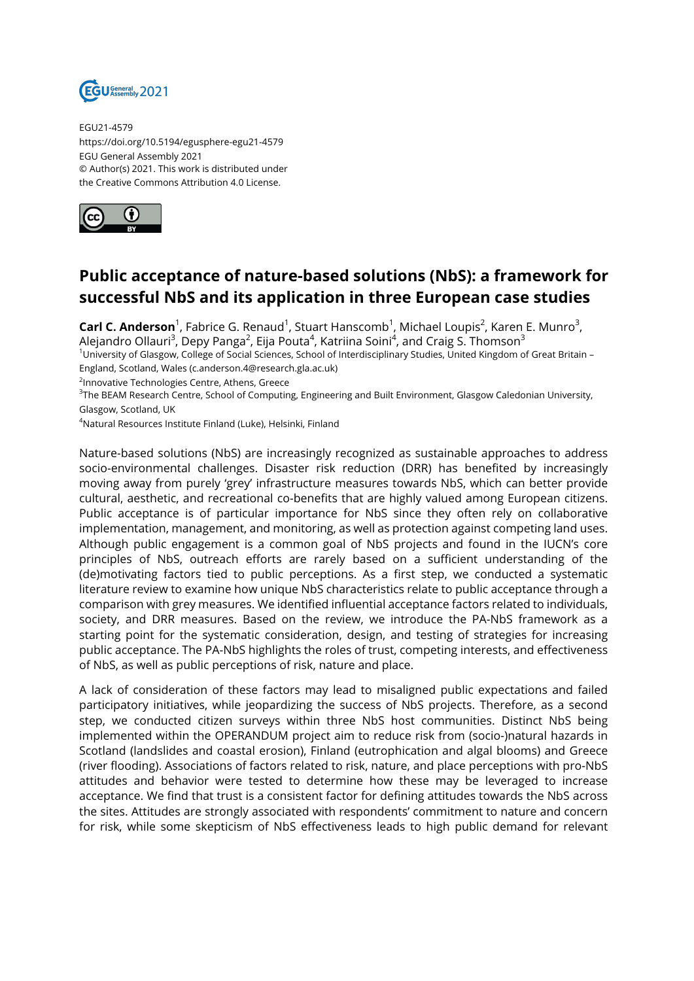

EGU21-4579 https://doi.org/10.5194/egusphere-egu21-4579 EGU General Assembly 2021 © Author(s) 2021. This work is distributed under the Creative Commons Attribution 4.0 License.



## **Public acceptance of nature-based solutions (NbS): a framework for successful NbS and its application in three European case studies**

**Carl C. Anderson**<sup>1</sup>, Fabrice G. Renaud<sup>1</sup>, Stuart Hanscomb<sup>1</sup>, Michael Loupis<sup>2</sup>, Karen E. Munro<sup>3</sup>, Alejandro Ollauri<sup>3</sup>, Depy Panga<sup>2</sup>, Eija Pouta<sup>4</sup>, Katriina Soini<sup>4</sup>, and Craig S. Thomson<sup>3</sup>

<sup>1</sup>University of Glasgow, College of Social Sciences, School of Interdisciplinary Studies, United Kingdom of Great Britain – England, Scotland, Wales (c.anderson.4@research.gla.ac.uk)

<sup>2</sup>Innovative Technologies Centre, Athens, Greece

 $^3$ The BEAM Research Centre, School of Computing, Engineering and Built Environment, Glasgow Caledonian University, Glasgow, Scotland, UK

<sup>4</sup>Natural Resources Institute Finland (Luke), Helsinki, Finland

Nature-based solutions (NbS) are increasingly recognized as sustainable approaches to address socio-environmental challenges. Disaster risk reduction (DRR) has benefited by increasingly moving away from purely 'grey' infrastructure measures towards NbS, which can better provide cultural, aesthetic, and recreational co-benefits that are highly valued among European citizens. Public acceptance is of particular importance for NbS since they often rely on collaborative implementation, management, and monitoring, as well as protection against competing land uses. Although public engagement is a common goal of NbS projects and found in the IUCN's core principles of NbS, outreach efforts are rarely based on a sufficient understanding of the (de)motivating factors tied to public perceptions. As a first step, we conducted a systematic literature review to examine how unique NbS characteristics relate to public acceptance through a comparison with grey measures. We identified influential acceptance factors related to individuals, society, and DRR measures. Based on the review, we introduce the PA-NbS framework as a starting point for the systematic consideration, design, and testing of strategies for increasing public acceptance. The PA-NbS highlights the roles of trust, competing interests, and effectiveness of NbS, as well as public perceptions of risk, nature and place.

A lack of consideration of these factors may lead to misaligned public expectations and failed participatory initiatives, while jeopardizing the success of NbS projects. Therefore, as a second step, we conducted citizen surveys within three NbS host communities. Distinct NbS being implemented within the OPERANDUM project aim to reduce risk from (socio-)natural hazards in Scotland (landslides and coastal erosion), Finland (eutrophication and algal blooms) and Greece (river flooding). Associations of factors related to risk, nature, and place perceptions with pro-NbS attitudes and behavior were tested to determine how these may be leveraged to increase acceptance. We find that trust is a consistent factor for defining attitudes towards the NbS across the sites. Attitudes are strongly associated with respondents' commitment to nature and concern for risk, while some skepticism of NbS effectiveness leads to high public demand for relevant